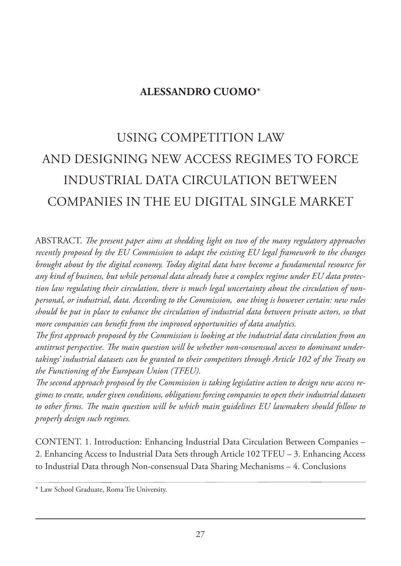## **ALESSANDRO CUOMO**\*

# USING COMPETITION LAW AND DESIGNING NEW ACCESS REGIMES TO FORCE INDUSTRIAL DATA CIRCULATION BETWEEN COMPANIES IN THE EU DIGITAL SINGLE MARKET

ABSTRACT. *The present paper aims at shedding light on two of the many regulatory approaches recently proposed by the EU Commission to adapt the existing EU legal framework to the changes brought about by the digital economy. Today digital data have become a fundamental resource for any kind of business, but while personal data already have a complex regime under EU data protection law regulating their circulation, there is much legal uncertainty about the circulation of nonpersonal, or industrial, data. According to the Commission, one thing is however certain: new rules should be put in place to enhance the circulation of industrial data between private actors, so that more companies can benefit from the improved opportunities of data analytics.*

*The first approach proposed by the Commission is looking at the industrial data circulation from an antitrust perspective. The main question will be whether non-consensual access to dominant undertakings' industrial datasets can be granted to their competitors through Article 102 of the Treaty on the Functioning of the European Union (TFEU).*

*The second approach proposed by the Commission is taking legislative action to design new access regimes to create, under given conditions, obligations forcing companies to open their industrial datasets to other firms. The main question will be which main guidelines EU lawmakers should follow to properly design such regimes.*

CONTENT. 1. Introduction: Enhancing Industrial Data Circulation Between Companies – 2. Enhancing Access to Industrial Data Sets through Article 102 TFEU – 3. Enhancing Access to Industrial Data through Non-consensual Data Sharing Mechanisms – 4. Conclusions

<sup>\*</sup> Law School Graduate, Roma Tre University.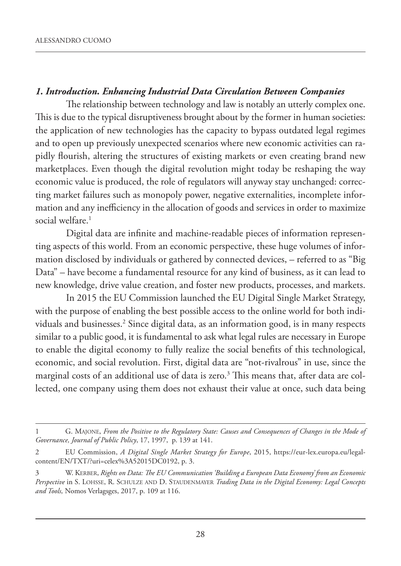#### *1. Introduction. Enhancing Industrial Data Circulation Between Companies*

The relationship between technology and law is notably an utterly complex one. This is due to the typical disruptiveness brought about by the former in human societies: the application of new technologies has the capacity to bypass outdated legal regimes and to open up previously unexpected scenarios where new economic activities can rapidly flourish, altering the structures of existing markets or even creating brand new marketplaces. Even though the digital revolution might today be reshaping the way economic value is produced, the role of regulators will anyway stay unchanged: correcting market failures such as monopoly power, negative externalities, incomplete information and any inefficiency in the allocation of goods and services in order to maximize social welfare.<sup>1</sup>

Digital data are infinite and machine-readable pieces of information representing aspects of this world. From an economic perspective, these huge volumes of information disclosed by individuals or gathered by connected devices, – referred to as "Big Data" – have become a fundamental resource for any kind of business, as it can lead to new knowledge, drive value creation, and foster new products, processes, and markets.

In 2015 the EU Commission launched the EU Digital Single Market Strategy, with the purpose of enabling the best possible access to the online world for both individuals and businesses.2 Since digital data, as an information good, is in many respects similar to a public good, it is fundamental to ask what legal rules are necessary in Europe to enable the digital economy to fully realize the social benefits of this technological, economic, and social revolution. First, digital data are "not-rivalrous" in use, since the marginal costs of an additional use of data is zero. $3$  This means that, after data are collected, one company using them does not exhaust their value at once, such data being

<sup>1</sup> G. MAJONE, *From the Positive to the Regulatory State: Causes and Consequences of Changes in the Mode of Governance, Journal of Public Policy*, 17, 1997, p. 139 at 141.

<sup>2</sup> EU Commission, *A Digital Single Market Strategy for Europe*, 2015, https://eur-lex.europa.eu/legalcontent/EN/TXT/?uri=celex%3A52015DC0192, p. 3.

<sup>3</sup> W. KERBER, *Rights on Data: The EU Communication 'Building a European Data Economy' from an Economic Perspective* in S. LOHSSE, R. SCHULZE AND D. STAUDENMAYER *Trading Data in the Digital Economy: Legal Concepts and Tools,* Nomos Verlagsges, 2017, p. 109 at 116.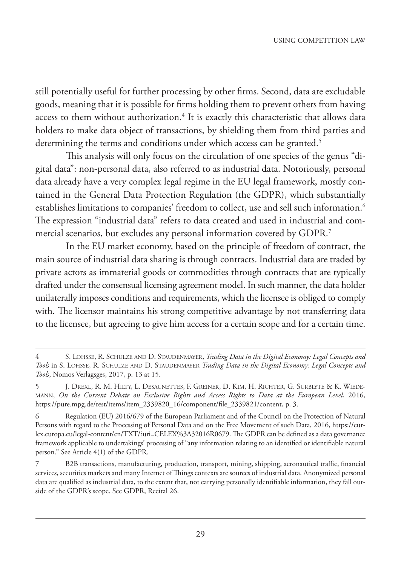still potentially useful for further processing by other firms. Second, data are excludable goods, meaning that it is possible for firms holding them to prevent others from having access to them without authorization.<sup>4</sup> It is exactly this characteristic that allows data holders to make data object of transactions, by shielding them from third parties and determining the terms and conditions under which access can be granted.<sup>5</sup>

This analysis will only focus on the circulation of one species of the genus "digital data": non-personal data, also referred to as industrial data. Notoriously, personal data already have a very complex legal regime in the EU legal framework, mostly contained in the General Data Protection Regulation (the GDPR), which substantially establishes limitations to companies' freedom to collect, use and sell such information.<sup>6</sup> The expression "industrial data" refers to data created and used in industrial and commercial scenarios, but excludes any personal information covered by GDPR.7

In the EU market economy, based on the principle of freedom of contract, the main source of industrial data sharing is through contracts. Industrial data are traded by private actors as immaterial goods or commodities through contracts that are typically drafted under the consensual licensing agreement model. In such manner, the data holder unilaterally imposes conditions and requirements, which the licensee is obliged to comply with. The licensor maintains his strong competitive advantage by not transferring data to the licensee, but agreeing to give him access for a certain scope and for a certain time.

<sup>4</sup> S. LOHSSE, R. SCHULZE AND D. STAUDENMAYER, *Trading Data in the Digital Economy: Legal Concepts and Tools* in S. LOHSSE, R. SCHULZE AND D. STAUDENMAYER *Trading Data in the Digital Economy: Legal Concepts and Tools*, Nomos Verlagsges, 2017, p. 13 at 15.

<sup>5</sup> J. DREXL, R. M. HILTY, L. DESAUNETTES, F. GREINER, D. KIM, H. RICHTER, G. SURBLYTE & K. WIEDE-MANN, *On the Current Debate on Exclusive Rights and Access Rights to Data at the European Level*, 2016, https://pure.mpg.de/rest/items/item\_2339820\_16/component/file\_2339821/content, p. 3.

<sup>6</sup> Regulation (EU) 2016/679 of the European Parliament and of the Council on the Protection of Natural Persons with regard to the Processing of Personal Data and on the Free Movement of such Data, 2016, https://eurlex.europa.eu/legal-content/en/TXT/?uri=CELEX%3A32016R0679. The GDPR can be defined as a data governance framework applicable to undertakings' processing of "any information relating to an identified or identifiable natural person." See Article 4(1) of the GDPR.

<sup>7</sup> B2B transactions, manufacturing, production, transport, mining, shipping, aeronautical traffic, financial services, securities markets and many Internet of Things contexts are sources of industrial data. Anonymized personal data are qualified as industrial data, to the extent that, not carrying personally identifiable information, they fall outside of the GDPR's scope. See GDPR, Recital 26.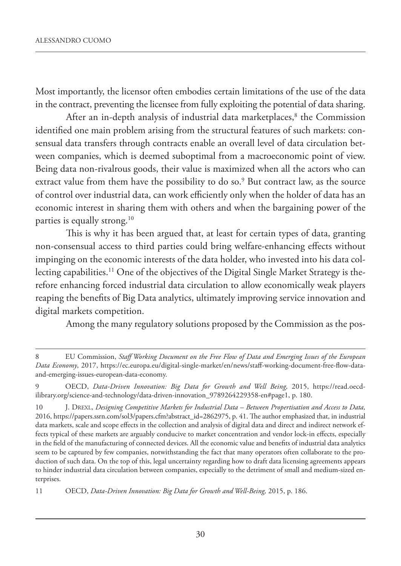Most importantly, the licensor often embodies certain limitations of the use of the data in the contract, preventing the licensee from fully exploiting the potential of data sharing.

After an in-depth analysis of industrial data marketplaces,<sup>8</sup> the Commission identified one main problem arising from the structural features of such markets: consensual data transfers through contracts enable an overall level of data circulation between companies, which is deemed suboptimal from a macroeconomic point of view. Being data non-rivalrous goods, their value is maximized when all the actors who can extract value from them have the possibility to do so.<sup>9</sup> But contract law, as the source of control over industrial data, can work efficiently only when the holder of data has an economic interest in sharing them with others and when the bargaining power of the parties is equally strong.<sup>10</sup>

This is why it has been argued that, at least for certain types of data, granting non-consensual access to third parties could bring welfare-enhancing effects without impinging on the economic interests of the data holder, who invested into his data collecting capabilities.<sup>11</sup> One of the objectives of the Digital Single Market Strategy is therefore enhancing forced industrial data circulation to allow economically weak players reaping the benefits of Big Data analytics, ultimately improving service innovation and digital markets competition.

Among the many regulatory solutions proposed by the Commission as the pos-

<sup>8</sup> EU Commission, *Staff Working Document on the Free Flow of Data and Emerging Issues of the European Data Economy*, 2017, https://ec.europa.eu/digital-single-market/en/news/staff-working-document-free-flow-dataand-emerging-issues-european-data-economy.

<sup>9</sup> OECD, *Data-Driven Innovation: Big Data for Growth and Well Being,* 2015, https://read.oecdilibrary.org/science-and-technology/data-driven-innovation\_9789264229358-en#page1, p. 180.

<sup>10</sup> J. DREXL, *Designing Competitive Markets for Industrial Data – Between Propertisation and Access to Data,* 2016, https://papers.ssrn.com/sol3/papers.cfm?abstract\_id=2862975, p. 41. The author emphasized that, in industrial data markets, scale and scope effects in the collection and analysis of digital data and direct and indirect network effects typical of these markets are arguably conducive to market concentration and vendor lock-in effects, especially in the field of the manufacturing of connected devices. All the economic value and benefits of industrial data analytics seem to be captured by few companies, notwithstanding the fact that many operators often collaborate to the production of such data. On the top of this, legal uncertainty regarding how to draft data licensing agreements appears to hinder industrial data circulation between companies, especially to the detriment of small and medium-sized enterprises.

<sup>11</sup> OECD, *Data-Driven Innovation: Big Data for Growth and Well-Being,* 2015, p. 186.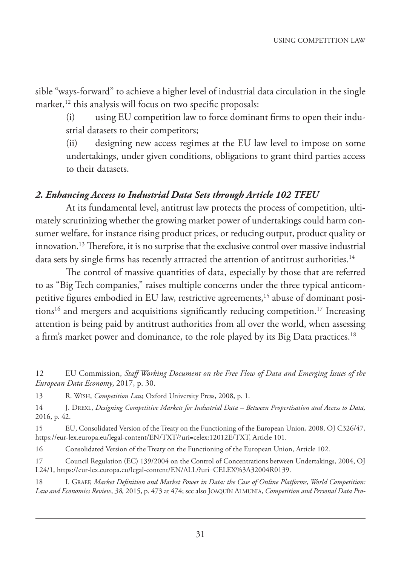sible "ways-forward" to achieve a higher level of industrial data circulation in the single market,<sup>12</sup> this analysis will focus on two specific proposals:

(i) using EU competition law to force dominant firms to open their industrial datasets to their competitors;

(ii) designing new access regimes at the EU law level to impose on some undertakings, under given conditions, obligations to grant third parties access to their datasets.

#### *2. Enhancing Access to Industrial Data Sets through Article 102 TFEU*

At its fundamental level, antitrust law protects the process of competition, ultimately scrutinizing whether the growing market power of undertakings could harm consumer welfare, for instance rising product prices, or reducing output, product quality or innovation.13 Therefore, it is no surprise that the exclusive control over massive industrial data sets by single firms has recently attracted the attention of antitrust authorities.<sup>14</sup>

The control of massive quantities of data, especially by those that are referred to as "Big Tech companies," raises multiple concerns under the three typical anticompetitive figures embodied in EU law, restrictive agreements,<sup>15</sup> abuse of dominant positions<sup>16</sup> and mergers and acquisitions significantly reducing competition.<sup>17</sup> Increasing attention is being paid by antitrust authorities from all over the world, when assessing a firm's market power and dominance, to the role played by its Big Data practices.<sup>18</sup>

18 I. GRAEF, *Market Definition and Market Power in Data: the Case of Online Platforms, World Competition: Law and Economics Review*, *38,* 2015, p. 473 at 474; see also JOAQUÍN ALMUNIA, *Competition and Personal Data Pro-*

<sup>12</sup> EU Commission, *Staff Working Document on the Free Flow of Data and Emerging Issues of the European Data Economy*, 2017, p. 30.

<sup>13</sup> R. WISH, *Competition Law,* Oxford University Press, 2008, p. 1.

<sup>14</sup> J. DREXL, *Designing Competitive Markets for Industrial Data – Between Propertisation and Access to Data,* 2016, p. 42.

<sup>15</sup> EU, Consolidated Version of the Treaty on the Functioning of the European Union, 2008, OJ C326/47, https://eur-lex.europa.eu/legal-content/EN/TXT/?uri=celex:12012E/TXT, Article 101.

<sup>16</sup> Consolidated Version of the Treaty on the Functioning of the European Union, Article 102.

<sup>17</sup> Council Regulation (EC) 139/2004 on the Control of Concentrations between Undertakings, 2004, OJ L24/1, https://eur-lex.europa.eu/legal-content/EN/ALL/?uri=CELEX%3A32004R0139.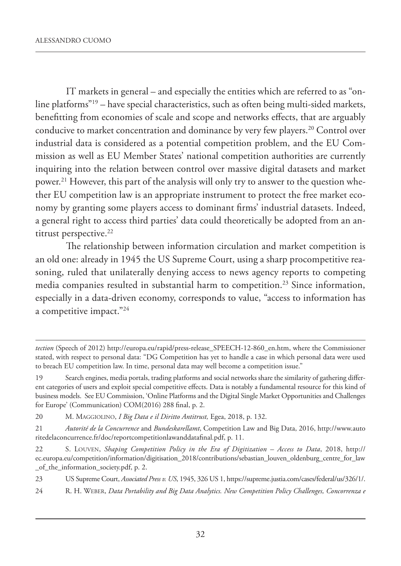IT markets in general – and especially the entities which are referred to as "online platforms"19 – have special characteristics, such as often being multi-sided markets, benefitting from economies of scale and scope and networks effects, that are arguably conducive to market concentration and dominance by very few players.<sup>20</sup> Control over industrial data is considered as a potential competition problem, and the EU Commission as well as EU Member States' national competition authorities are currently inquiring into the relation between control over massive digital datasets and market power.<sup>21</sup> However, this part of the analysis will only try to answer to the question whether EU competition law is an appropriate instrument to protect the free market economy by granting some players access to dominant firms' industrial datasets. Indeed, a general right to access third parties' data could theoretically be adopted from an antitrust perspective.<sup>22</sup>

The relationship between information circulation and market competition is an old one: already in 1945 the US Supreme Court, using a sharp procompetitive reasoning, ruled that unilaterally denying access to news agency reports to competing media companies resulted in substantial harm to competition.<sup>23</sup> Since information, especially in a data-driven economy, corresponds to value, "access to information has a competitive impact."24

*tection* (Speech of 2012) http://europa.eu/rapid/press-release\_SPEECH-12-860\_en.htm, where the Commissioner stated, with respect to personal data: "DG Competition has yet to handle a case in which personal data were used to breach EU competition law. In time, personal data may well become a competition issue."

<sup>19</sup> Search engines, media portals, trading platforms and social networks share the similarity of gathering different categories of users and exploit special competitive effects. Data is notably a fundamental resource for this kind of business models. See EU Commission, 'Online Platforms and the Digital Single Market Opportunities and Challenges for Europe' (Communication) COM(2016) 288 final, p. 2.

<sup>20</sup> M. MAGGIOLINO, *I Big Data e il Diritto Antitrust,* Egea, 2018, p. 132.

<sup>21</sup> *Autorité de la Concurrence* and *Bundeskarellamt*, Competition Law and Big Data, 2016, http://www.auto ritedelaconcurrence.fr/doc/reportcompetitionlawanddatafinal.pdf, p. 11.

<sup>22</sup> S. LOUVEN, *Shaping Competition Policy in the Era of Digitization – Access to Data*, 2018, http:// ec.europa.eu/competition/information/digitisation\_2018/contributions/sebastian\_louven\_oldenburg\_centre\_for\_law \_of\_the\_information\_society.pdf, p. 2.

<sup>23</sup> US Supreme Court, *Associated Press v. US*, 1945, 326 US 1, https://supreme.justia.com/cases/federal/us/326/1/.

<sup>24</sup> R. H. WEBER, *Data Portability and Big Data Analytics. New Competition Policy Challenges, Concorrenza e*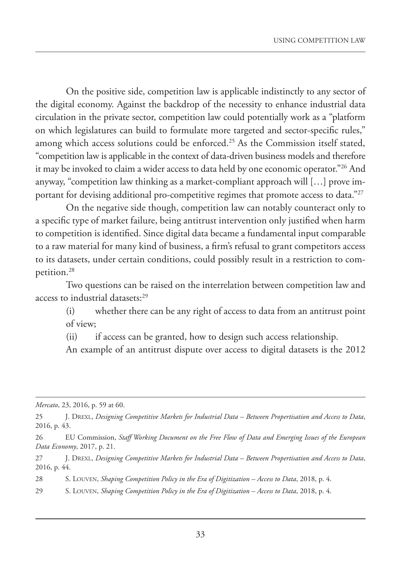On the positive side, competition law is applicable indistinctly to any sector of the digital economy. Against the backdrop of the necessity to enhance industrial data circulation in the private sector, competition law could potentially work as a "platform on which legislatures can build to formulate more targeted and sector-specific rules," among which access solutions could be enforced.<sup>25</sup> As the Commission itself stated, "competition law is applicable in the context of data-driven business models and therefore it may be invoked to claim a wider access to data held by one economic operator."26 And anyway, "competition law thinking as a market-compliant approach will […] prove important for devising additional pro-competitive regimes that promote access to data."<sup>27</sup>

On the negative side though, competition law can notably counteract only to a specific type of market failure, being antitrust intervention only justified when harm to competition is identified. Since digital data became a fundamental input comparable to a raw material for many kind of business, a firm's refusal to grant competitors access to its datasets, under certain conditions, could possibly result in a restriction to competition.28

Two questions can be raised on the interrelation between competition law and access to industrial datasets:<sup>29</sup>

(i) whether there can be any right of access to data from an antitrust point of view;

(ii) if access can be granted, how to design such access relationship.

An example of an antitrust dispute over access to digital datasets is the 2012

*Mercato*, 23, 2016, p. 59 at 60.

29 S. LOUVEN, *Shaping Competition Policy in the Era of Digitization – Access to Data*, 2018, p. 4.

<sup>25</sup> J. DREXL, *Designing Competitive Markets for Industrial Data – Between Propertisation and Access to Data*, 2016, p. 43.

<sup>26</sup> EU Commission, *Staff Working Document on the Free Flow of Data and Emerging Issues of the European Data Economy*, 2017, p. 21.

<sup>27</sup> J. DREXL, *Designing Competitive Markets for Industrial Data – Between Propertisation and Access to Data*, 2016, p. 44.

<sup>28</sup> S. LOUVEN, *Shaping Competition Policy in the Era of Digitization – Access to Data*, 2018, p. 4.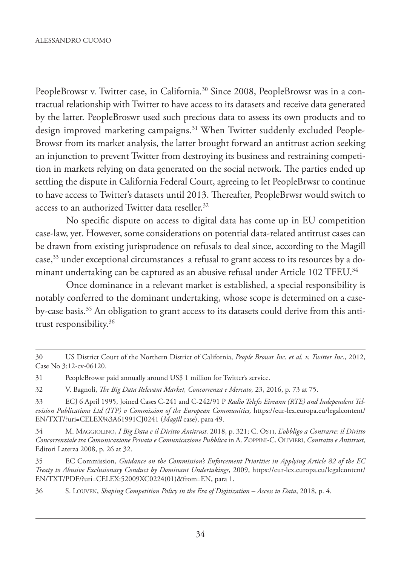PeopleBrowsr v. Twitter case, in California.<sup>30</sup> Since 2008, PeopleBrowsr was in a contractual relationship with Twitter to have access to its datasets and receive data generated by the latter. PeopleBroswr used such precious data to assess its own products and to design improved marketing campaigns.<sup>31</sup> When Twitter suddenly excluded People-Browsr from its market analysis, the latter brought forward an antitrust action seeking an injunction to prevent Twitter from destroying its business and restraining competition in markets relying on data generated on the social network. The parties ended up settling the dispute in California Federal Court, agreeing to let PeopleBrwsr to continue to have access to Twitter's datasets until 2013. Thereafter, PeopleBrwsr would switch to access to an authorized Twitter data reseller.<sup>32</sup>

No specific dispute on access to digital data has come up in EU competition case-law, yet. However, some considerations on potential data-related antitrust cases can be drawn from existing jurisprudence on refusals to deal since, according to the Magill case,<sup>33</sup> under exceptional circumstances a refusal to grant access to its resources by a dominant undertaking can be captured as an abusive refusal under Article 102 TFEU.34

Once dominance in a relevant market is established, a special responsibility is notably conferred to the dominant undertaking, whose scope is determined on a caseby-case basis.<sup>35</sup> An obligation to grant access to its datasets could derive from this antitrust responsibility.36

<sup>30</sup> US District Court of the Northern District of California, *People Browsr Inc. et al. v. Twitter Inc.*, 2012, Case No 3:12-cv-06120.

<sup>31</sup> PeopleBrowsr paid annually around US\$ 1 million for Twitter's service.

<sup>32</sup> V. Bagnoli, *The Big Data Relevant Market, Concorrenza e Mercato,* 23, 2016, p. 73 at 75.

<sup>33</sup> ECJ 6 April 1995, Joined Cases C-241 and C-242/91 P *Radio Telefis Eireann (RTE) and Independent Television Publications Ltd (ITP) v Commission of the European Communities,* https://eur-lex.europa.eu/legalcontent/ EN/TXT/?uri=CELEX%3A61991CJ0241 (*Magill* case), para 49.

<sup>34</sup> M. MAGGIOLINO, *I Big Data e il Diritto Antitrust,* 2018, p. 321; C. OSTI, *L'obbligo a Contrarre: il Diritto Concorrenziale tra Comunicazione Privata e Comunicazione Pubblica* in A. ZOPPINI-C. OLIVIERI, *Contratto e Antitrust,* Editori Laterza 2008, p. 26 at 32.

<sup>35</sup> EC Commission, *Guidance on the Commission's Enforcement Priorities in Applying Article 82 of the EC Treaty to Abusive Exclusionary Conduct by Dominant Undertakings*, 2009, https://eur-lex.europa.eu/legalcontent/ EN/TXT/PDF/?uri=CELEX:52009XC0224(01)&from=EN, para 1.

<sup>36</sup> S. LOUVEN, *Shaping Competition Policy in the Era of Digitization – Access to Data*, 2018, p. 4.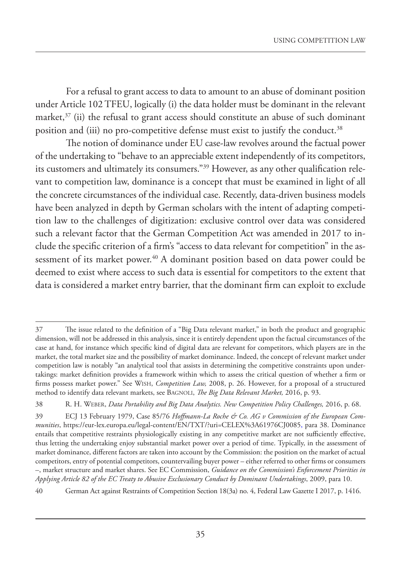For a refusal to grant access to data to amount to an abuse of dominant position under Article 102 TFEU, logically (i) the data holder must be dominant in the relevant market,<sup>37</sup> (ii) the refusal to grant access should constitute an abuse of such dominant position and (iii) no pro-competitive defense must exist to justify the conduct.<sup>38</sup>

The notion of dominance under EU case-law revolves around the factual power of the undertaking to "behave to an appreciable extent independently of its competitors, its customers and ultimately its consumers."39 However, as any other qualification relevant to competition law, dominance is a concept that must be examined in light of all the concrete circumstances of the individual case. Recently, data-driven business models have been analyzed in depth by German scholars with the intent of adapting competition law to the challenges of digitization: exclusive control over data was considered such a relevant factor that the German Competition Act was amended in 2017 to include the specific criterion of a firm's "access to data relevant for competition" in the assessment of its market power.<sup>40</sup> A dominant position based on data power could be deemed to exist where access to such data is essential for competitors to the extent that data is considered a market entry barrier, that the dominant firm can exploit to exclude

<sup>37</sup> The issue related to the definition of a "Big Data relevant market," in both the product and geographic dimension, will not be addressed in this analysis, since it is entirely dependent upon the factual circumstances of the case at hand, for instance which specific kind of digital data are relevant for competitors, which players are in the market, the total market size and the possibility of market dominance. Indeed, the concept of relevant market under competition law is notably "an analytical tool that assists in determining the competitive constraints upon undertakings: market definition provides a framework within which to assess the critical question of whether a firm or firms possess market power." See WISH, *Competition Law,* 2008, p. 26. However, for a proposal of a structured method to identify data relevant markets, see BAGNOLI, *The Big Data Relevant Market,* 2016, p. 93.

<sup>38</sup> R. H. WEBER, *Data Portability and Big Data Analytics. New Competition Policy Challenges,* 2016, p. 68.

<sup>39</sup> ECJ 13 February 1979, Case 85/76 *Hoffmann-La Roche & Co. AG v Commission of the European Communities*, https://eur-lex.europa.eu/legal-content/EN/TXT/?uri=CELEX%3A61976CJ0085, para 38. Dominance entails that competitive restraints physiologically existing in any competitive market are not sufficiently effective, thus letting the undertaking enjoy substantial market power over a period of time. Typically, in the assessment of market dominance, different factors are taken into account by the Commission: the position on the market of actual competitors, entry of potential competitors, countervailing buyer power – either referred to other firms or consumers –, market structure and market shares. See EC Commission, *Guidance on the Commission's Enforcement Priorities in Applying Article 82 of the EC Treaty to Abusive Exclusionary Conduct by Dominant Undertakings*, 2009, para 10.

<sup>40</sup> German Act against Restraints of Competition Section 18(3a) no. 4, Federal Law Gazette I 2017, p. 1416.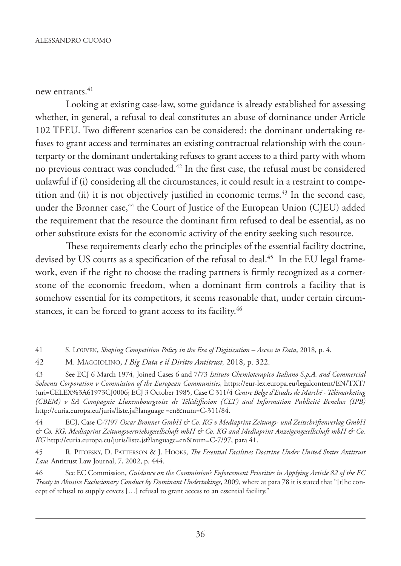new entrants. $41$ 

Looking at existing case-law, some guidance is already established for assessing whether, in general, a refusal to deal constitutes an abuse of dominance under Article 102 TFEU. Two different scenarios can be considered: the dominant undertaking refuses to grant access and terminates an existing contractual relationship with the counterparty or the dominant undertaking refuses to grant access to a third party with whom no previous contract was concluded.42 In the first case, the refusal must be considered unlawful if (i) considering all the circumstances, it could result in a restraint to competition and (ii) it is not objectively justified in economic terms.<sup>43</sup> In the second case, under the Bronner case,<sup>44</sup> the Court of Justice of the European Union (CJEU) added the requirement that the resource the dominant firm refused to deal be essential, as no other substitute exists for the economic activity of the entity seeking such resource.

These requirements clearly echo the principles of the essential facility doctrine, devised by US courts as a specification of the refusal to deal.<sup>45</sup> In the EU legal framework, even if the right to choose the trading partners is firmly recognized as a cornerstone of the economic freedom, when a dominant firm controls a facility that is somehow essential for its competitors, it seems reasonable that, under certain circumstances, it can be forced to grant access to its facility.<sup>46</sup>

44 ECJ, Case C-7/97 *Oscar Bronner GmbH & Co. KG v Mediaprint Zeitungs- und Zeitschriftenverlag GmbH & Co. KG, Mediaprint Zeitungsvertriebsgesellschaft mbH & Co. KG and Mediaprint Anzeigengesellschaft mbH & Co. KG* http://curia.europa.eu/juris/liste.jsf?language=en&num=C-7/97, para 41.

45 R. PITOFSKY, D. PATTERSON & J. HOOKS, *The Essential Facilities Doctrine Under United States Antitrust Law,* Antitrust Law Journal, 7, 2002, p. 444.

46 See EC Commission, *Guidance on the Commission's Enforcement Priorities in Applying Article 82 of the EC Treaty to Abusive Exclusionary Conduct by Dominant Undertakings*, 2009, where at para 78 it is stated that "[t]he concept of refusal to supply covers […] refusal to grant access to an essential facility."

<sup>41</sup> S. LOUVEN, *Shaping Competition Policy in the Era of Digitization – Access to Data*, 2018, p. 4.

<sup>42</sup> M. MAGGIOLINO, *I Big Data e il Diritto Antitrust,* 2018, p. 322.

<sup>43</sup> See ECJ 6 March 1974, Joined Cases 6 and 7/73 *Istituto Chemioterapico Italiano S.p.A. and Commercial Solvents Corporation v Commission of the European Communities,* https://eur-lex.europa.eu/legalcontent/EN/TXT/ ?uri=CELEX%3A61973CJ0006; ECJ 3 October 1985, Case C 311/4 *Centre Belge d'Etudes de Marché - Télémarketing (CBEM) v SA Compagnie Lluxembourgeoise de Télédiffusion (CLT) and Information Publicité Benelux (IPB)* http://curia.europa.eu/juris/liste.jsf?language =en&num=C-311/84.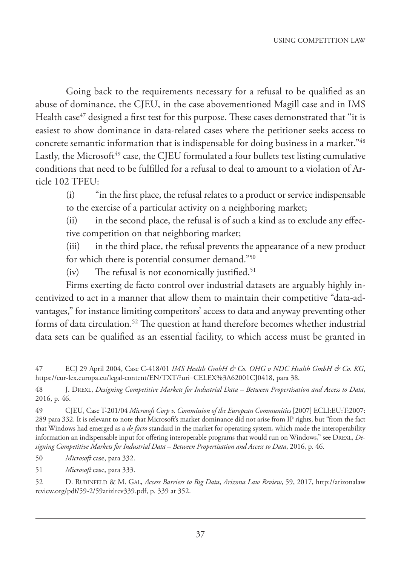Going back to the requirements necessary for a refusal to be qualified as an abuse of dominance, the CJEU, in the case abovementioned Magill case and in IMS Health case $47$  designed a first test for this purpose. These cases demonstrated that "it is easiest to show dominance in data-related cases where the petitioner seeks access to concrete semantic information that is indispensable for doing business in a market."48 Lastly, the Microsoft $49$  case, the CJEU formulated a four bullets test listing cumulative conditions that need to be fulfilled for a refusal to deal to amount to a violation of Article 102 TFEU:

(i) "in the first place, the refusal relates to a product or service indispensable to the exercise of a particular activity on a neighboring market;

(ii) in the second place, the refusal is of such a kind as to exclude any effective competition on that neighboring market;

(iii) in the third place, the refusal prevents the appearance of a new product for which there is potential consumer demand."50

 $(iv)$  The refusal is not economically justified.<sup>51</sup>

Firms exerting de facto control over industrial datasets are arguably highly incentivized to act in a manner that allow them to maintain their competitive "data-advantages," for instance limiting competitors' access to data and anyway preventing other forms of data circulation.52 The question at hand therefore becomes whether industrial data sets can be qualified as an essential facility, to which access must be granted in

50 *Microsoft* case, para 332.

51 *Microsoft* case, para 333.

52 D. RUBINFELD & M. GAL, *Access Barriers to Big Data*, *Arizona Law Review*, 59, 2017, http://arizonalaw review.org/pdf/59-2/59arizlrev339.pdf, p. 339 at 352.

<sup>47</sup> ECJ 29 April 2004, Case C-418/01 *IMS Health GmbH & Co. OHG v NDC Health GmbH & Co. KG*, https://eur-lex.europa.eu/legal-content/EN/TXT/?uri=CELEX%3A62001CJ0418, para 38.

<sup>48</sup> J. DREXL, *Designing Competitive Markets for Industrial Data – Between Propertisation and Access to Data*, 2016, p. 46.

<sup>49</sup> CJEU, Case T-201/04 *Microsoft Corp v. Commission of the European Communities* [2007] ECLI:EU:T:2007: 289 para 332. It is relevant to note that Microsoft's market dominance did not arise from IP rights, but "from the fact that Windows had emerged as a *de facto* standard in the market for operating system, which made the interoperability information an indispensable input for offering interoperable programs that would run on Windows," see DREXL, *Designing Competitive Markets for Industrial Data – Between Propertisation and Access to Data*, 2016, p. 46.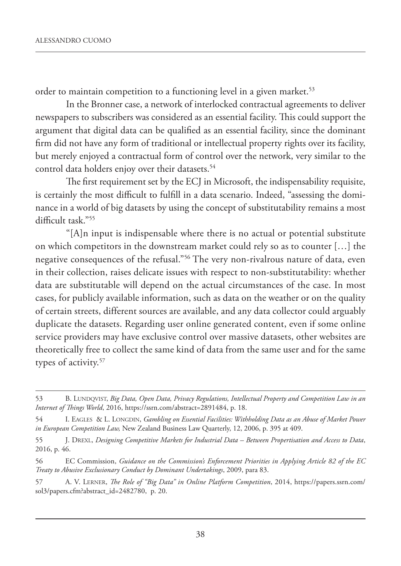order to maintain competition to a functioning level in a given market.<sup>53</sup>

In the Bronner case, a network of interlocked contractual agreements to deliver newspapers to subscribers was considered as an essential facility. This could support the argument that digital data can be qualified as an essential facility, since the dominant firm did not have any form of traditional or intellectual property rights over its facility, but merely enjoyed a contractual form of control over the network, very similar to the control data holders enjoy over their datasets.<sup>54</sup>

The first requirement set by the ECJ in Microsoft, the indispensability requisite, is certainly the most difficult to fulfill in a data scenario. Indeed, "assessing the dominance in a world of big datasets by using the concept of substitutability remains a most difficult task."55

"[A]n input is indispensable where there is no actual or potential substitute on which competitors in the downstream market could rely so as to counter […] the negative consequences of the refusal."56 The very non-rivalrous nature of data, even in their collection, raises delicate issues with respect to non-substitutability: whether data are substitutable will depend on the actual circumstances of the case. In most cases, for publicly available information, such as data on the weather or on the quality of certain streets, different sources are available, and any data collector could arguably duplicate the datasets. Regarding user online generated content, even if some online service providers may have exclusive control over massive datasets, other websites are theoretically free to collect the same kind of data from the same user and for the same types of activity.<sup>57</sup>

<sup>53</sup> B. LUNDQVIST, *Big Data, Open Data, Privacy Regulations, Intellectual Property and Competition Law in an Internet of Things World*, 2016, https://ssrn.com/abstract=2891484, p. 18.

<sup>54</sup> I. EAGLES & L. LONGDIN, *Gambling on Essential Facilities: Withholding Data as an Abuse of Market Power in European Competition Law,* New Zealand Business Law Quarterly, 12, 2006, p. 395 at 409.

<sup>55</sup> J. DREXL, *Designing Competitive Markets for Industrial Data – Between Propertisation and Access to Data*, 2016, p. 46.

<sup>56</sup> EC Commission, *Guidance on the Commission's Enforcement Priorities in Applying Article 82 of the EC Treaty to Abusive Exclusionary Conduct by Dominant Undertakings*, 2009, para 83.

<sup>57</sup> A. V. LERNER, *The Role of "Big Data" in Online Platform Competition*, 2014, https://papers.ssrn.com/ sol3/papers.cfm?abstract\_id=2482780, p. 20.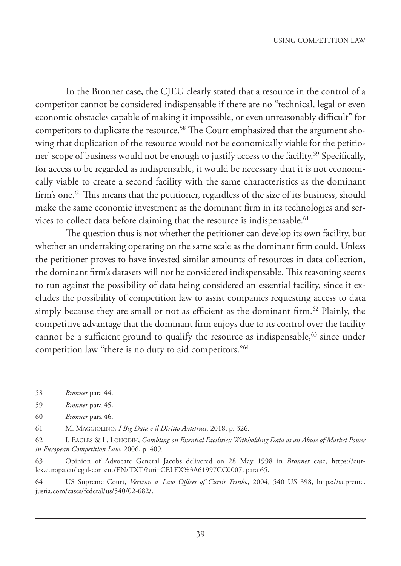In the Bronner case, the CJEU clearly stated that a resource in the control of a competitor cannot be considered indispensable if there are no "technical, legal or even economic obstacles capable of making it impossible, or even unreasonably difficult" for competitors to duplicate the resource.<sup>58</sup> The Court emphasized that the argument showing that duplication of the resource would not be economically viable for the petitioner' scope of business would not be enough to justify access to the facility.<sup>59</sup> Specifically, for access to be regarded as indispensable, it would be necessary that it is not economically viable to create a second facility with the same characteristics as the dominant firm's one.<sup>60</sup> This means that the petitioner, regardless of the size of its business, should make the same economic investment as the dominant firm in its technologies and services to collect data before claiming that the resource is indispensable.<sup>61</sup>

The question thus is not whether the petitioner can develop its own facility, but whether an undertaking operating on the same scale as the dominant firm could. Unless the petitioner proves to have invested similar amounts of resources in data collection, the dominant firm's datasets will not be considered indispensable. This reasoning seems to run against the possibility of data being considered an essential facility, since it excludes the possibility of competition law to assist companies requesting access to data simply because they are small or not as efficient as the dominant firm.<sup>62</sup> Plainly, the competitive advantage that the dominant firm enjoys due to its control over the facility cannot be a sufficient ground to qualify the resource as indispensable,  $63$  since under competition law "there is no duty to aid competitors."64

61 M. MAGGIOLINO, *I Big Data e il Diritto Antitrust,* 2018, p. 326.

63 Opinion of Advocate General Jacobs delivered on 28 May 1998 in *Bronner* case, https://eurlex.europa.eu/legal-content/EN/TXT/?uri=CELEX%3A61997CC0007, para 65.

64 US Supreme Court, *Verizon v. Law Offices of Curtis Trinko*, 2004, 540 US 398, https://supreme. justia.com/cases/federal/us/540/02-682/.

<sup>58</sup> *Bronner* para 44.

<sup>59</sup> *Bronner* para 45.

<sup>60</sup> *Bronner* para 46.

<sup>62</sup> I. EAGLES & L. LONGDIN, *Gambling on Essential Facilities: Withholding Data as an Abuse of Market Power in European Competition Law*, 2006, p. 409.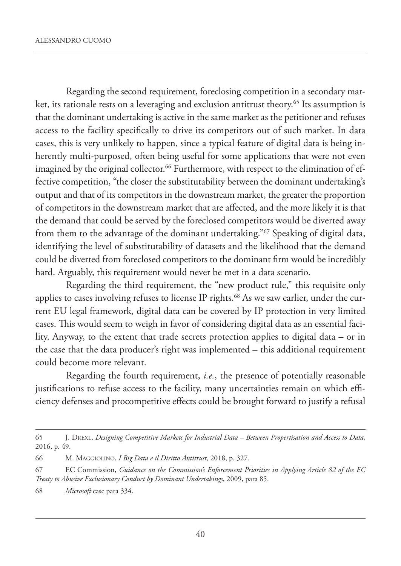Regarding the second requirement, foreclosing competition in a secondary market, its rationale rests on a leveraging and exclusion antitrust theory.<sup>65</sup> Its assumption is that the dominant undertaking is active in the same market as the petitioner and refuses access to the facility specifically to drive its competitors out of such market. In data cases, this is very unlikely to happen, since a typical feature of digital data is being inherently multi-purposed, often being useful for some applications that were not even imagined by the original collector.<sup>66</sup> Furthermore, with respect to the elimination of effective competition, "the closer the substitutability between the dominant undertaking's output and that of its competitors in the downstream market, the greater the proportion of competitors in the downstream market that are affected, and the more likely it is that the demand that could be served by the foreclosed competitors would be diverted away from them to the advantage of the dominant undertaking."67 Speaking of digital data, identifying the level of substitutability of datasets and the likelihood that the demand could be diverted from foreclosed competitors to the dominant firm would be incredibly hard. Arguably, this requirement would never be met in a data scenario.

Regarding the third requirement, the "new product rule," this requisite only applies to cases involving refuses to license IP rights.<sup>68</sup> As we saw earlier, under the current EU legal framework, digital data can be covered by IP protection in very limited cases. This would seem to weigh in favor of considering digital data as an essential facility. Anyway, to the extent that trade secrets protection applies to digital data – or in the case that the data producer's right was implemented – this additional requirement could become more relevant.

Regarding the fourth requirement, *i.e.*, the presence of potentially reasonable justifications to refuse access to the facility, many uncertainties remain on which efficiency defenses and procompetitive effects could be brought forward to justify a refusal

<sup>65</sup> J. DREXL, *Designing Competitive Markets for Industrial Data – Between Propertisation and Access to Data*, 2016, p. 49.

<sup>66</sup> M. MAGGIOLINO, *I Big Data e il Diritto Antitrust,* 2018, p. 327.

<sup>67</sup> EC Commission, *Guidance on the Commission's Enforcement Priorities in Applying Article 82 of the EC Treaty to Abusive Exclusionary Conduct by Dominant Undertakings*, 2009, para 85.

<sup>68</sup> *Microsoft* case para 334.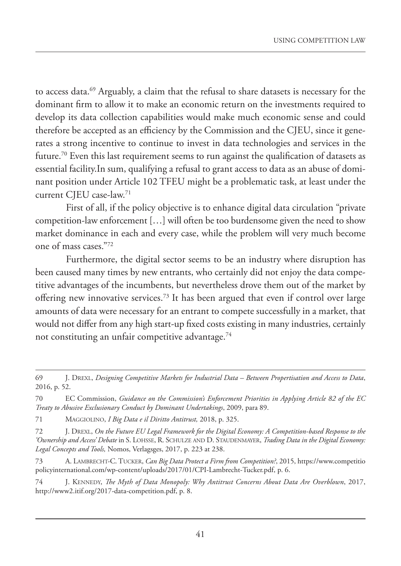to access data.69 Arguably, a claim that the refusal to share datasets is necessary for the dominant firm to allow it to make an economic return on the investments required to develop its data collection capabilities would make much economic sense and could therefore be accepted as an efficiency by the Commission and the CJEU, since it generates a strong incentive to continue to invest in data technologies and services in the future.<sup>70</sup> Even this last requirement seems to run against the qualification of datasets as essential facility.In sum, qualifying a refusal to grant access to data as an abuse of dominant position under Article 102 TFEU might be a problematic task, at least under the current CJEU case-law.71

First of all, if the policy objective is to enhance digital data circulation "private competition-law enforcement […] will often be too burdensome given the need to show market dominance in each and every case, while the problem will very much become one of mass cases."72

Furthermore, the digital sector seems to be an industry where disruption has been caused many times by new entrants, who certainly did not enjoy the data competitive advantages of the incumbents, but nevertheless drove them out of the market by offering new innovative services.73 It has been argued that even if control over large amounts of data were necessary for an entrant to compete successfully in a market, that would not differ from any high start-up fixed costs existing in many industries, certainly not constituting an unfair competitive advantage.<sup>74</sup>

<sup>69</sup> J. DREXL, *Designing Competitive Markets for Industrial Data – Between Propertisation and Access to Data*, 2016, p. 52.

<sup>70</sup> EC Commission, *Guidance on the Commission's Enforcement Priorities in Applying Article 82 of the EC Treaty to Abusive Exclusionary Conduct by Dominant Undertakings*, 2009, para 89.

<sup>71</sup> MAGGIOLINO, *I Big Data e il Diritto Antitrust,* 2018, p. 325.

<sup>72</sup> J. DREXL, *On the Future EU Legal Framework for the Digital Economy: A Competition-based Response to the 'Ownership and Access' Debate* in S. LOHSSE, R. SCHULZE AND D. STAUDENMAYER, *Trading Data in the Digital Economy: Legal Concepts and Tools,* Nomos, Verlagsges, 2017, p. 223 at 238.

<sup>73</sup> A. LAMBRECHT-C. TUCKER, *Can Big Data Protect a Firm from Competition?*, 2015, https://www.competitio policyinternational.com/wp-content/uploads/2017/01/CPI-Lambrecht-Tucker.pdf, p. 6.

<sup>74</sup> J. KENNEDY, *The Myth of Data Monopoly: Why Antitrust Concerns About Data Are Overblown*, 2017, http://www2.itif.org/2017-data-competition.pdf, p. 8.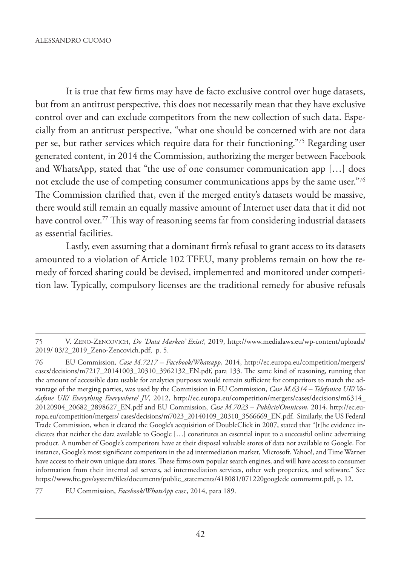It is true that few firms may have de facto exclusive control over huge datasets, but from an antitrust perspective, this does not necessarily mean that they have exclusive control over and can exclude competitors from the new collection of such data. Especially from an antitrust perspective, "what one should be concerned with are not data per se, but rather services which require data for their functioning."75 Regarding user generated content, in 2014 the Commission, authorizing the merger between Facebook and WhatsApp, stated that "the use of one consumer communication app […] does not exclude the use of competing consumer communications apps by the same user."76 The Commission clarified that, even if the merged entity's datasets would be massive, there would still remain an equally massive amount of Internet user data that it did not have control over.<sup>77</sup> This way of reasoning seems far from considering industrial datasets as essential facilities.

Lastly, even assuming that a dominant firm's refusal to grant access to its datasets amounted to a violation of Article 102 TFEU, many problems remain on how the remedy of forced sharing could be devised, implemented and monitored under competition law. Typically, compulsory licenses are the traditional remedy for abusive refusals

<sup>75</sup> V. ZENO-ZENCOVICH, *Do 'Data Markets' Exist?*, 2019, http://www.medialaws.eu/wp-content/uploads/ 2019/ 03/2\_2019\_Zeno-Zencovich.pdf, p. 5.

<sup>76</sup> EU Commission*, Case M.7217 – Facebook/Whatsapp*, 2014, http://ec.europa.eu/competition/mergers/ cases/decisions/m7217\_20141003\_20310\_3962132\_EN.pdf, para 133. The same kind of reasoning, running that the amount of accessible data usable for analytics purposes would remain sufficient for competitors to match the advantage of the merging parties, was used by the Commission in EU Commission, *Case M.6314 – Telefonica UK/ Vodafone UK/ Everything Everywhere/ JV*, 2012, http://ec.europa.eu/competition/mergers/cases/decisions/m6314\_ 20120904\_20682\_2898627\_EN.pdf and EU Commission, *Case M.7023 – Publicis/Omnicom*, 2014, http://ec.europa.eu/competition/mergers/ cases/decisions/m7023\_20140109\_20310\_3566669\_EN.pdf. Similarly, the US Federal Trade Commission, when it cleared the Google's acquisition of DoubleClick in 2007, stated that "[t]he evidence indicates that neither the data available to Google […] constitutes an essential input to a successful online advertising product. A number of Google's competitors have at their disposal valuable stores of data not available to Google. For instance, Google's most significant competitors in the ad intermediation market, Microsoft, Yahoo!, and Time Warner have access to their own unique data stores. These firms own popular search engines, and will have access to consumer information from their internal ad servers, ad intermediation services, other web properties, and software." See https://www.ftc.gov/system/files/documents/public\_statements/418081/071220googledc commstmt.pdf, p. 12.

<sup>77</sup> EU Commission, *Facebook/WhatsApp* case, 2014, para 189.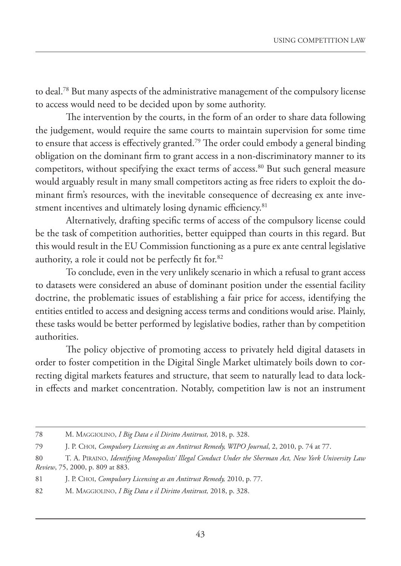to deal.78 But many aspects of the administrative management of the compulsory license to access would need to be decided upon by some authority.

The intervention by the courts, in the form of an order to share data following the judgement, would require the same courts to maintain supervision for some time to ensure that access is effectively granted.79 The order could embody a general binding obligation on the dominant firm to grant access in a non-discriminatory manner to its competitors, without specifying the exact terms of access.<sup>80</sup> But such general measure would arguably result in many small competitors acting as free riders to exploit the dominant firm's resources, with the inevitable consequence of decreasing ex ante investment incentives and ultimately losing dynamic efficiency.<sup>81</sup>

Alternatively, drafting specific terms of access of the compulsory license could be the task of competition authorities, better equipped than courts in this regard. But this would result in the EU Commission functioning as a pure ex ante central legislative authority, a role it could not be perfectly fit for.82

To conclude, even in the very unlikely scenario in which a refusal to grant access to datasets were considered an abuse of dominant position under the essential facility doctrine, the problematic issues of establishing a fair price for access, identifying the entities entitled to access and designing access terms and conditions would arise. Plainly, these tasks would be better performed by legislative bodies, rather than by competition authorities.

The policy objective of promoting access to privately held digital datasets in order to foster competition in the Digital Single Market ultimately boils down to correcting digital markets features and structure, that seem to naturally lead to data lockin effects and market concentration. Notably, competition law is not an instrument

<sup>78</sup> M. MAGGIOLINO, *I Big Data e il Diritto Antitrust,* 2018, p. 328.

<sup>79</sup> J. P. CHOI, *Compulsory Licensing as an Antitrust Remedy, WIPO Journal*, 2, 2010, p. 74 at 77.

<sup>80</sup> T. A. PIRAINO, *Identifying Monopolists' Illegal Conduct Under the Sherman Act, New York University Law Review*, 75, 2000, p. 809 at 883.

<sup>81</sup> J. P. CHOI, *Compulsory Licensing as an Antitrust Remedy,* 2010, p. 77.

<sup>82</sup> M. MAGGIOLINO, *I Big Data e il Diritto Antitrust,* 2018, p. 328.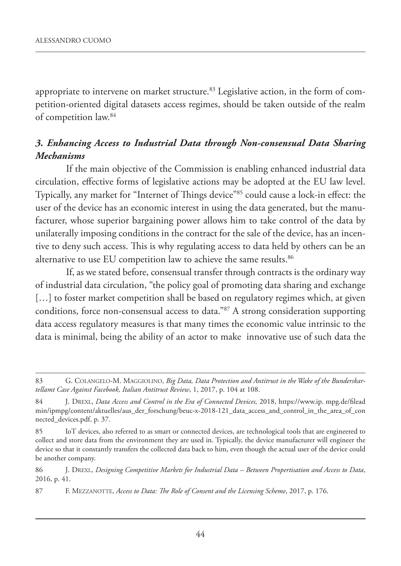appropriate to intervene on market structure.<sup>83</sup> Legislative action, in the form of competition-oriented digital datasets access regimes, should be taken outside of the realm of competition law.84

### *3. Enhancing Access to Industrial Data through Non-consensual Data Sharing Mechanisms*

If the main objective of the Commission is enabling enhanced industrial data circulation, effective forms of legislative actions may be adopted at the EU law level. Typically, any market for "Internet of Things device"85 could cause a lock-in effect: the user of the device has an economic interest in using the data generated, but the manufacturer, whose superior bargaining power allows him to take control of the data by unilaterally imposing conditions in the contract for the sale of the device, has an incentive to deny such access. This is why regulating access to data held by others can be an alternative to use EU competition law to achieve the same results.<sup>86</sup>

If, as we stated before, consensual transfer through contracts is the ordinary way of industrial data circulation, "the policy goal of promoting data sharing and exchange [...] to foster market competition shall be based on regulatory regimes which, at given conditions, force non-consensual access to data."87 A strong consideration supporting data access regulatory measures is that many times the economic value intrinsic to the data is minimal, being the ability of an actor to make innovative use of such data the

<sup>83</sup> G. COLANGELO-M. MAGGIOLINO, *Big Data, Data Protection and Antitrust in the Wake of the Bunderskartellamt Case Against Facebook, Italian Antitrust Review*, 1, 2017, p. 104 at 108.

<sup>84</sup> J. DREXL, *Data Access and Control in the Era of Connected Devices,* 2018, https://www.ip. mpg.de/filead min/ipmpg/content/aktuelles/aus\_der\_forschung/beuc-x-2018-121\_data\_access\_and\_control\_in\_the\_area\_of\_con nected\_devices.pdf, p. 37.

<sup>85</sup> IoT devices, also referred to as smart or connected devices, are technological tools that are engineered to collect and store data from the environment they are used in. Typically, the device manufacturer will engineer the device so that it constantly transfers the collected data back to him, even though the actual user of the device could be another company.

<sup>86</sup> J. DREXL, *Designing Competitive Markets for Industrial Data – Between Propertisation and Access to Data*, 2016, p. 41.

<sup>87</sup> F. MEZZANOTTE, *Access to Data: The Role of Consent and the Licensing Scheme*, 2017, p. 176.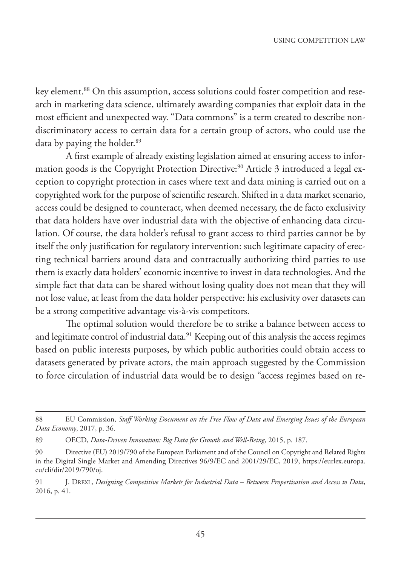key element.<sup>88</sup> On this assumption, access solutions could foster competition and research in marketing data science, ultimately awarding companies that exploit data in the most efficient and unexpected way. "Data commons" is a term created to describe nondiscriminatory access to certain data for a certain group of actors, who could use the data by paying the holder.<sup>89</sup>

A first example of already existing legislation aimed at ensuring access to information goods is the Copyright Protection Directive:<sup>90</sup> Article 3 introduced a legal exception to copyright protection in cases where text and data mining is carried out on a copyrighted work for the purpose of scientific research. Shifted in a data market scenario, access could be designed to counteract, when deemed necessary, the de facto exclusivity that data holders have over industrial data with the objective of enhancing data circulation. Of course, the data holder's refusal to grant access to third parties cannot be by itself the only justification for regulatory intervention: such legitimate capacity of erecting technical barriers around data and contractually authorizing third parties to use them is exactly data holders' economic incentive to invest in data technologies. And the simple fact that data can be shared without losing quality does not mean that they will not lose value, at least from the data holder perspective: his exclusivity over datasets can be a strong competitive advantage vis-à-vis competitors.

The optimal solution would therefore be to strike a balance between access to and legitimate control of industrial data.<sup>91</sup> Keeping out of this analysis the access regimes based on public interests purposes, by which public authorities could obtain access to datasets generated by private actors, the main approach suggested by the Commission to force circulation of industrial data would be to design "access regimes based on re-

<sup>88</sup> EU Commission, *Staff Working Document on the Free Flow of Data and Emerging Issues of the European Data Economy*, 2017, p. 36.

<sup>89</sup> OECD, *Data-Driven Innovation: Big Data for Growth and Well-Being*, 2015, p. 187.

<sup>90</sup> Directive (EU) 2019/790 of the European Parliament and of the Council on Copyright and Related Rights in the Digital Single Market and Amending Directives 96/9/EC and 2001/29/EC, 2019, https://eurlex.europa. eu/eli/dir/2019/790/oj.

<sup>91</sup> J. DREXL, *Designing Competitive Markets for Industrial Data – Between Propertisation and Access to Data*, 2016, p. 41.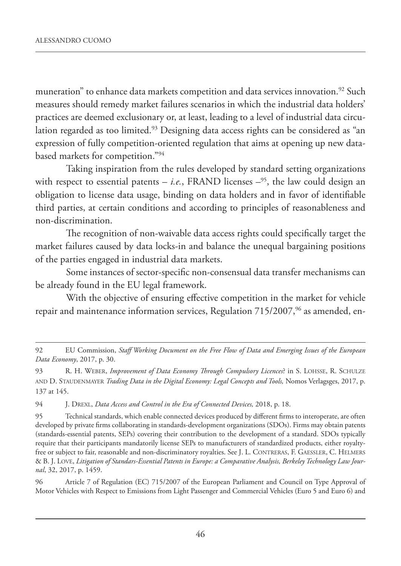muneration" to enhance data markets competition and data services innovation.<sup>92</sup> Such measures should remedy market failures scenarios in which the industrial data holders' practices are deemed exclusionary or, at least, leading to a level of industrial data circulation regarded as too limited.<sup>93</sup> Designing data access rights can be considered as "an expression of fully competition-oriented regulation that aims at opening up new databased markets for competition."94

Taking inspiration from the rules developed by standard setting organizations with respect to essential patents – *i.e.*, FRAND licenses  $-$ <sup>95</sup>, the law could design an obligation to license data usage, binding on data holders and in favor of identifiable third parties, at certain conditions and according to principles of reasonableness and non-discrimination.

The recognition of non-waivable data access rights could specifically target the market failures caused by data locks-in and balance the unequal bargaining positions of the parties engaged in industrial data markets.

Some instances of sector-specific non-consensual data transfer mechanisms can be already found in the EU legal framework.

With the objective of ensuring effective competition in the market for vehicle repair and maintenance information services, Regulation 715/2007,<sup>96</sup> as amended, en-

94 J. DREXL, *Data Access and Control in the Era of Connected Devices,* 2018, p. 18.

95 Technical standards, which enable connected devices produced by different firms to interoperate, are often developed by private firms collaborating in standards-development organizations (SDOs). Firms may obtain patents (standards-essential patents, SEPs) covering their contribution to the development of a standard. SDOs typically require that their participants mandatorily license SEPs to manufacturers of standardized products, either royaltyfree or subject to fair, reasonable and non-discriminatory royalties. See J. L. CONTRERAS, F. GAESSLER, C. HELMERS & B. J. LOVE, *Litigation of Standars-Essential Patents in Europe: a Comparative Analysis, Berkeley Technology Law Journal*, 32, 2017, p. 1459.

96 Article 7 of Regulation (EC) 715/2007 of the European Parliament and Council on Type Approval of Motor Vehicles with Respect to Emissions from Light Passenger and Commercial Vehicles (Euro 5 and Euro 6) and

<sup>92</sup> EU Commission, *Staff Working Document on the Free Flow of Data and Emerging Issues of the European Data Economy*, 2017, p. 30.

<sup>93</sup> R. H. WEBER, *Improvement of Data Economy Through Compulsory Licences*? in S. LOHSSE, R. SCHULZE AND D. STAUDENMAYER *Trading Data in the Digital Economy: Legal Concepts and Tools,* Nomos Verlagsges, 2017, p. 137 at 145.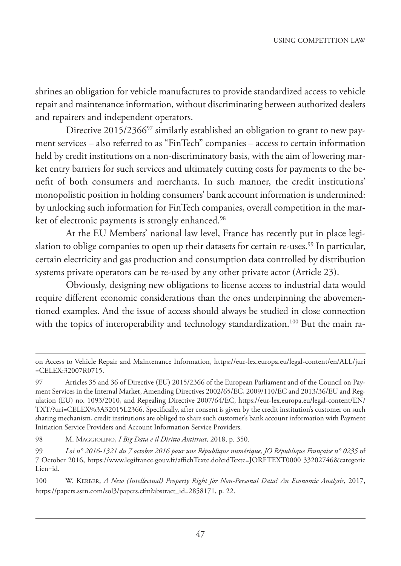shrines an obligation for vehicle manufactures to provide standardized access to vehicle repair and maintenance information, without discriminating between authorized dealers and repairers and independent operators.

Directive 2015/2366<sup>97</sup> similarly established an obligation to grant to new payment services – also referred to as "FinTech" companies – access to certain information held by credit institutions on a non-discriminatory basis, with the aim of lowering market entry barriers for such services and ultimately cutting costs for payments to the benefit of both consumers and merchants. In such manner, the credit institutions' monopolistic position in holding consumers' bank account information is undermined: by unlocking such information for FinTech companies, overall competition in the market of electronic payments is strongly enhanced.<sup>98</sup>

At the EU Members' national law level, France has recently put in place legislation to oblige companies to open up their datasets for certain re-uses.<sup>99</sup> In particular, certain electricity and gas production and consumption data controlled by distribution systems private operators can be re-used by any other private actor (Article 23).

Obviously, designing new obligations to license access to industrial data would require different economic considerations than the ones underpinning the abovementioned examples. And the issue of access should always be studied in close connection with the topics of interoperability and technology standardization.<sup>100</sup> But the main ra-

on Access to Vehicle Repair and Maintenance Information, https://eur-lex.europa.eu/legal-content/en/ALL/juri =CELEX:32007R0715.

<sup>97</sup> Articles 35 and 36 of Directive (EU) 2015/2366 of the European Parliament and of the Council on Payment Services in the Internal Market, Amending Directives 2002/65/EC, 2009/110/EC and 2013/36/EU and Regulation (EU) no. 1093/2010, and Repealing Directive 2007/64/EC, https://eur-lex.europa.eu/legal-content/EN/ TXT/?uri=CELEX%3A32015L2366. Specifically, after consent is given by the credit institution's customer on such sharing mechanism, credit institutions are obliged to share such customer's bank account information with Payment Initiation Service Providers and Account Information Service Providers.

<sup>98</sup> M. MAGGIOLINO, *I Big Data e il Diritto Antitrust,* 2018, p. 350.

<sup>99</sup> *Loi n° 2016-1321 du 7 octobre 2016 pour une République numérique, JO République Française n° 0235* of 7 October 2016, https://www.legifrance.gouv.fr/affichTexte.do?cidTexte=JORFTEXT0000 33202746&categorie Lien=id.

<sup>100</sup> W. KERBER, *A New (Intellectual) Property Right for Non-Personal Data? An Economic Analysis,* 2017, https://papers.ssrn.com/sol3/papers.cfm?abstract\_id=2858171, p. 22.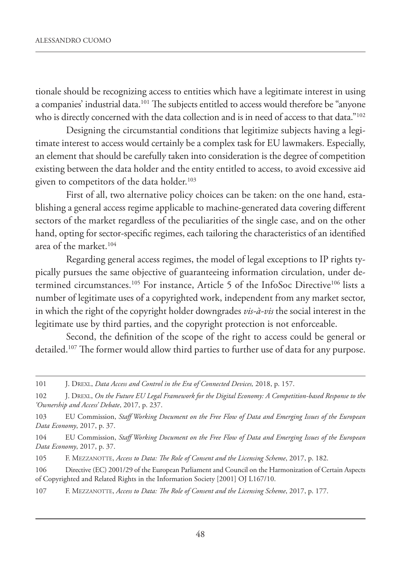tionale should be recognizing access to entities which have a legitimate interest in using a companies' industrial data.101 The subjects entitled to access would therefore be "anyone who is directly concerned with the data collection and is in need of access to that data."<sup>102</sup>

Designing the circumstantial conditions that legitimize subjects having a legitimate interest to access would certainly be a complex task for EU lawmakers. Especially, an element that should be carefully taken into consideration is the degree of competition existing between the data holder and the entity entitled to access, to avoid excessive aid given to competitors of the data holder.<sup>103</sup>

First of all, two alternative policy choices can be taken: on the one hand, establishing a general access regime applicable to machine-generated data covering different sectors of the market regardless of the peculiarities of the single case, and on the other hand, opting for sector-specific regimes, each tailoring the characteristics of an identified area of the market.<sup>104</sup>

Regarding general access regimes, the model of legal exceptions to IP rights typically pursues the same objective of guaranteeing information circulation, under determined circumstances.<sup>105</sup> For instance, Article 5 of the InfoSoc Directive<sup>106</sup> lists a number of legitimate uses of a copyrighted work, independent from any market sector, in which the right of the copyright holder downgrades *vis-à-vis* the social interest in the legitimate use by third parties, and the copyright protection is not enforceable.

Second, the definition of the scope of the right to access could be general or detailed.<sup>107</sup> The former would allow third parties to further use of data for any purpose.

<sup>101</sup> J. DREXL, *Data Access and Control in the Era of Connected Devices,* 2018, p. 157.

<sup>102</sup> J. DREXL, *On the Future EU Legal Framework for the Digital Economy: A Competition-based Response to the 'Ownership and Access' Debate*, 2017, p. 237.

<sup>103</sup> EU Commission, *Staff Working Document on the Free Flow of Data and Emerging Issues of the European Data Economy*, 2017, p. 37.

<sup>104</sup> EU Commission, *Staff Working Document on the Free Flow of Data and Emerging Issues of the European Data Economy*, 2017, p. 37.

<sup>105</sup> F. MEZZANOTTE, *Access to Data: The Role of Consent and the Licensing Scheme*, 2017, p. 182.

<sup>106</sup> Directive (EC) 2001/29 of the European Parliament and Council on the Harmonization of Certain Aspects of Copyrighted and Related Rights in the Information Society [2001] OJ L167/10.

<sup>107</sup> F. MEZZANOTTE, *Access to Data: The Role of Consent and the Licensing Scheme*, 2017, p. 177.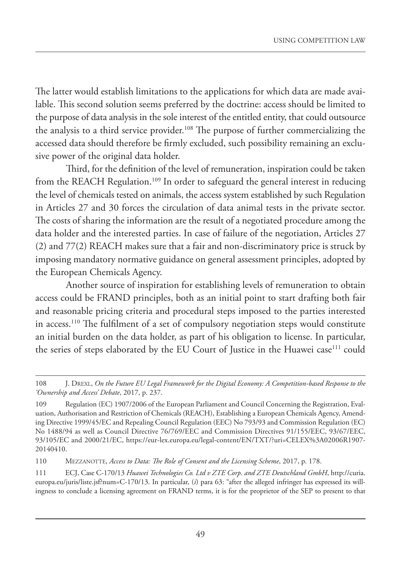The latter would establish limitations to the applications for which data are made available. This second solution seems preferred by the doctrine: access should be limited to the purpose of data analysis in the sole interest of the entitled entity, that could outsource the analysis to a third service provider.<sup>108</sup> The purpose of further commercializing the accessed data should therefore be firmly excluded, such possibility remaining an exclusive power of the original data holder.

Third, for the definition of the level of remuneration, inspiration could be taken from the REACH Regulation.<sup>109</sup> In order to safeguard the general interest in reducing the level of chemicals tested on animals, the access system established by such Regulation in Articles 27 and 30 forces the circulation of data animal tests in the private sector. The costs of sharing the information are the result of a negotiated procedure among the data holder and the interested parties. In case of failure of the negotiation, Articles 27 (2) and 77(2) REACH makes sure that a fair and non-discriminatory price is struck by imposing mandatory normative guidance on general assessment principles, adopted by the European Chemicals Agency.

Another source of inspiration for establishing levels of remuneration to obtain access could be FRAND principles, both as an initial point to start drafting both fair and reasonable pricing criteria and procedural steps imposed to the parties interested in access.110 The fulfilment of a set of compulsory negotiation steps would constitute an initial burden on the data holder, as part of his obligation to license. In particular, the series of steps elaborated by the EU Court of Justice in the Huawei case<sup>111</sup> could

<sup>108</sup> J. DREXL, *On the Future EU Legal Framework for the Digital Economy: A Competition-based Response to the 'Ownership and Access' Debate*, 2017, p. 237.

<sup>109</sup> Regulation (EC) 1907/2006 of the European Parliament and Council Concerning the Registration, Evaluation, Authorisation and Restriction of Chemicals (REACH), Establishing a European Chemicals Agency, Amending Directive 1999/45/EC and Repealing Council Regulation (EEC) No 793/93 and Commission Regulation (EC) No 1488/94 as well as Council Directive 76/769/EEC and Commission Directives 91/155/EEC, 93/67/EEC, 93/105/EC and 2000/21/EC, https://eur-lex.europa.eu/legal-content/EN/TXT/?uri=CELEX%3A02006R1907- 20140410.

<sup>110</sup> MEZZANOTTE, *Access to Data: The Role of Consent and the Licensing Scheme*, 2017, p. 178.

<sup>111</sup> ECJ, Case C-170/13 *Huawei Technologies Co. Ltd v ZTE Corp. and ZTE Deutschland GmbH*, http://curia. europa.eu/juris/liste.jsf?num=C-170/13. In particular, (*i*) para 63: "after the alleged infringer has expressed its willingness to conclude a licensing agreement on FRAND terms, it is for the proprietor of the SEP to present to that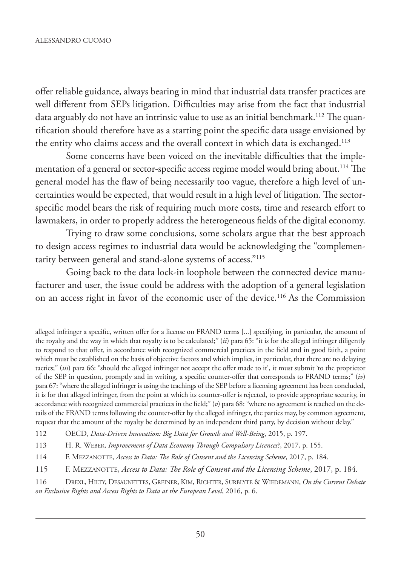offer reliable guidance, always bearing in mind that industrial data transfer practices are well different from SEPs litigation. Difficulties may arise from the fact that industrial data arguably do not have an intrinsic value to use as an initial benchmark.<sup>112</sup> The quantification should therefore have as a starting point the specific data usage envisioned by the entity who claims access and the overall context in which data is exchanged.<sup>113</sup>

Some concerns have been voiced on the inevitable difficulties that the implementation of a general or sector-specific access regime model would bring about.<sup>114</sup> The general model has the flaw of being necessarily too vague, therefore a high level of uncertainties would be expected, that would result in a high level of litigation. The sectorspecific model bears the risk of requiring much more costs, time and research effort to lawmakers, in order to properly address the heterogeneous fields of the digital economy.

Trying to draw some conclusions, some scholars argue that the best approach to design access regimes to industrial data would be acknowledging the "complementarity between general and stand-alone systems of access."115

Going back to the data lock-in loophole between the connected device manufacturer and user, the issue could be address with the adoption of a general legislation on an access right in favor of the economic user of the device.116 As the Commission

114 F. MEZZANOTTE, *Access to Data: The Role of Consent and the Licensing Scheme*, 2017, p. 184.

alleged infringer a specific, written offer for a license on FRAND terms [...] specifying, in particular, the amount of the royalty and the way in which that royalty is to be calculated;" (*ii*) para 65: "it is for the alleged infringer diligently to respond to that offer, in accordance with recognized commercial practices in the field and in good faith, a point which must be established on the basis of objective factors and which implies, in particular, that there are no delaying tactics;" (*iii*) para 66: "should the alleged infringer not accept the offer made to it', it must submit 'to the proprietor of the SEP in question, promptly and in writing, a specific counter-offer that corresponds to FRAND terms;" (*iv*) para 67: "where the alleged infringer is using the teachings of the SEP before a licensing agreement has been concluded, it is for that alleged infringer, from the point at which its counter-offer is rejected, to provide appropriate security, in accordance with recognized commercial practices in the field;" (*v*) para 68: "where no agreement is reached on the details of the FRAND terms following the counter-offer by the alleged infringer, the parties may, by common agreement, request that the amount of the royalty be determined by an independent third party, by decision without delay."

<sup>112</sup> OECD, *Data-Driven Innovation: Big Data for Growth and Well-Being*, 2015, p. 197.

<sup>113</sup> H. R. WEBER, *Improvement of Data Economy Through Compulsory Licences*?, 2017, p. 155.

<sup>115</sup> F. MEZZANOTTE, *Access to Data: The Role of Consent and the Licensing Scheme*, 2017, p. 184.

<sup>116</sup> DREXL, HILTY, DESAUNETTES, GREINER, KIM, RICHTER, SURBLYTE & WIEDEMANN, *On the Current Debate on Exclusive Rights and Access Rights to Data at the European Level*, 2016, p. 6.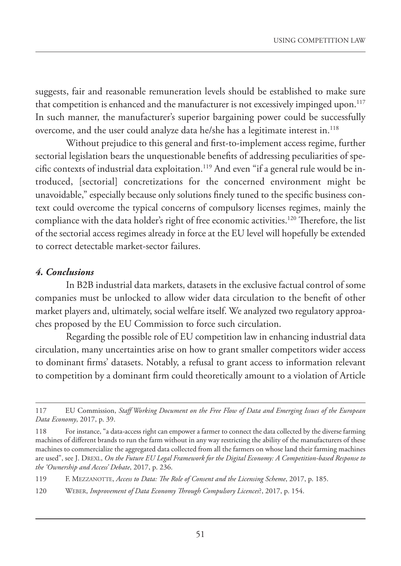suggests, fair and reasonable remuneration levels should be established to make sure that competition is enhanced and the manufacturer is not excessively impinged upon.<sup>117</sup> In such manner, the manufacturer's superior bargaining power could be successfully overcome, and the user could analyze data he/she has a legitimate interest in.<sup>118</sup>

Without prejudice to this general and first-to-implement access regime, further sectorial legislation bears the unquestionable benefits of addressing peculiarities of specific contexts of industrial data exploitation.<sup>119</sup> And even "if a general rule would be introduced, [sectorial] concretizations for the concerned environment might be unavoidable," especially because only solutions finely tuned to the specific business context could overcome the typical concerns of compulsory licenses regimes, mainly the compliance with the data holder's right of free economic activities.<sup>120</sup> Therefore, the list of the sectorial access regimes already in force at the EU level will hopefully be extended to correct detectable market-sector failures.

#### *4. Conclusions*

In B2B industrial data markets, datasets in the exclusive factual control of some companies must be unlocked to allow wider data circulation to the benefit of other market players and, ultimately, social welfare itself. We analyzed two regulatory approaches proposed by the EU Commission to force such circulation.

Regarding the possible role of EU competition law in enhancing industrial data circulation, many uncertainties arise on how to grant smaller competitors wider access to dominant firms' datasets. Notably, a refusal to grant access to information relevant to competition by a dominant firm could theoretically amount to a violation of Article

120 WEBER, *Improvement of Data Economy Through Compulsory Licences*?, 2017, p. 154.

<sup>117</sup> EU Commission, *Staff Working Document on the Free Flow of Data and Emerging Issues of the European Data Economy*, 2017, p. 39.

<sup>118</sup> For instance, "a data-access right can empower a farmer to connect the data collected by the diverse farming machines of different brands to run the farm without in any way restricting the ability of the manufacturers of these machines to commercialize the aggregated data collected from all the farmers on whose land their farming machines are used", see J. DREXL, *On the Future EU Legal Framework for the Digital Economy: A Competition-based Response to the 'Ownership and Access' Debate*, 2017, p. 236.

<sup>119</sup> F. MEZZANOTTE, *Access to Data: The Role of Consent and the Licensing Scheme*, 2017, p. 185.